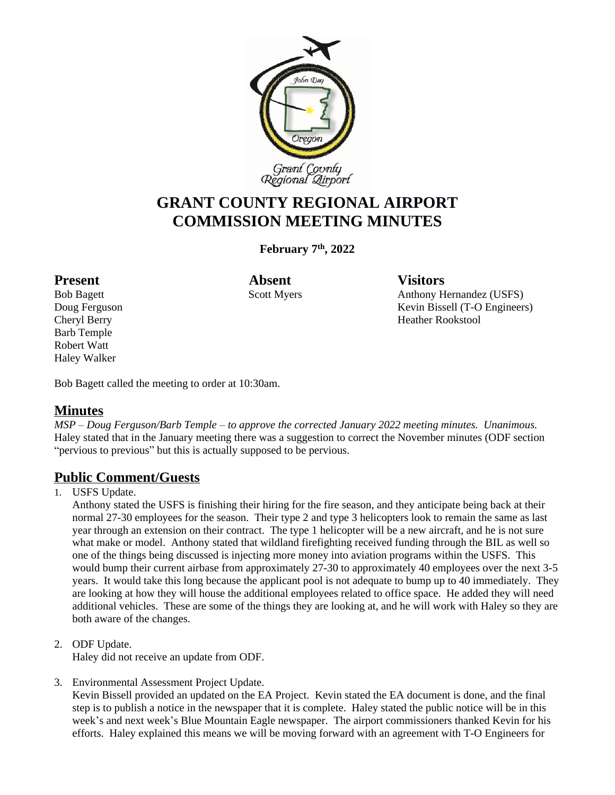

# **GRANT COUNTY REGIONAL AIRPORT COMMISSION MEETING MINUTES**

**February 7 th, 2022**

Barb Temple Robert Watt Haley Walker

Present **Absent** Visitors

Bob Bagett Scott Myers Anthony Hernandez (USFS) Doug Ferguson Kevin Bissell (T-O Engineers) Cheryl Berry **Heather Rookstool** 

Bob Bagett called the meeting to order at 10:30am.

# **Minutes**

*MSP – Doug Ferguson/Barb Temple – to approve the corrected January 2022 meeting minutes. Unanimous.*  Haley stated that in the January meeting there was a suggestion to correct the November minutes (ODF section "pervious to previous" but this is actually supposed to be pervious.

# **Public Comment/Guests**

1. USFS Update.

Anthony stated the USFS is finishing their hiring for the fire season, and they anticipate being back at their normal 27-30 employees for the season. Their type 2 and type 3 helicopters look to remain the same as last year through an extension on their contract. The type 1 helicopter will be a new aircraft, and he is not sure what make or model. Anthony stated that wildland firefighting received funding through the BIL as well so one of the things being discussed is injecting more money into aviation programs within the USFS. This would bump their current airbase from approximately 27-30 to approximately 40 employees over the next 3-5 years. It would take this long because the applicant pool is not adequate to bump up to 40 immediately. They are looking at how they will house the additional employees related to office space. He added they will need additional vehicles. These are some of the things they are looking at, and he will work with Haley so they are both aware of the changes.

2. ODF Update.

Haley did not receive an update from ODF.

3. Environmental Assessment Project Update.

Kevin Bissell provided an updated on the EA Project. Kevin stated the EA document is done, and the final step is to publish a notice in the newspaper that it is complete. Haley stated the public notice will be in this week's and next week's Blue Mountain Eagle newspaper. The airport commissioners thanked Kevin for his efforts. Haley explained this means we will be moving forward with an agreement with T-O Engineers for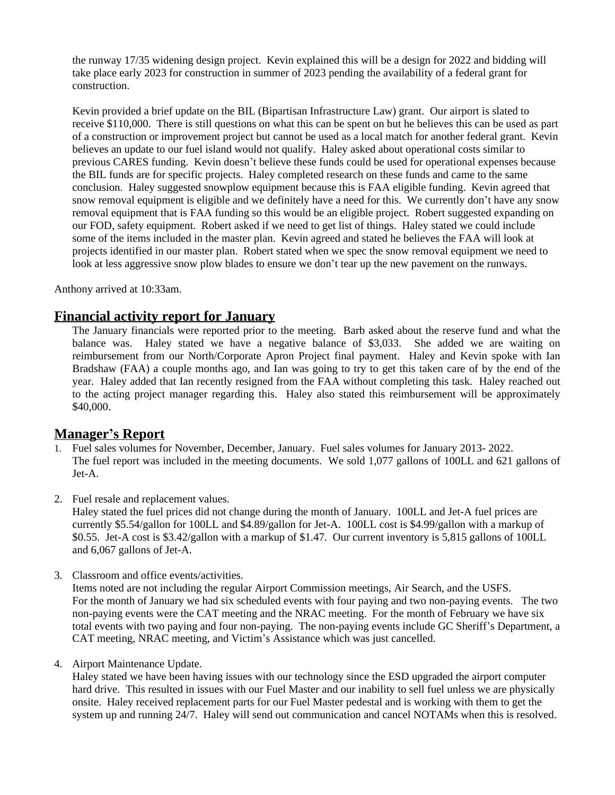the runway 17/35 widening design project. Kevin explained this will be a design for 2022 and bidding will take place early 2023 for construction in summer of 2023 pending the availability of a federal grant for construction.

Kevin provided a brief update on the BIL (Bipartisan Infrastructure Law) grant. Our airport is slated to receive \$110,000. There is still questions on what this can be spent on but he believes this can be used as part of a construction or improvement project but cannot be used as a local match for another federal grant. Kevin believes an update to our fuel island would not qualify. Haley asked about operational costs similar to previous CARES funding. Kevin doesn't believe these funds could be used for operational expenses because the BIL funds are for specific projects. Haley completed research on these funds and came to the same conclusion. Haley suggested snowplow equipment because this is FAA eligible funding. Kevin agreed that snow removal equipment is eligible and we definitely have a need for this. We currently don't have any snow removal equipment that is FAA funding so this would be an eligible project. Robert suggested expanding on our FOD, safety equipment. Robert asked if we need to get list of things. Haley stated we could include some of the items included in the master plan. Kevin agreed and stated he believes the FAA will look at projects identified in our master plan. Robert stated when we spec the snow removal equipment we need to look at less aggressive snow plow blades to ensure we don't tear up the new pavement on the runways.

Anthony arrived at 10:33am.

## **Financial activity report for January**

The January financials were reported prior to the meeting. Barb asked about the reserve fund and what the balance was. Haley stated we have a negative balance of \$3,033. She added we are waiting on reimbursement from our North/Corporate Apron Project final payment. Haley and Kevin spoke with Ian Bradshaw (FAA) a couple months ago, and Ian was going to try to get this taken care of by the end of the year. Haley added that Ian recently resigned from the FAA without completing this task. Haley reached out to the acting project manager regarding this. Haley also stated this reimbursement will be approximately \$40,000.

#### **Manager's Report**

- 1. Fuel sales volumes for November, December, January. Fuel sales volumes for January 2013- 2022. The fuel report was included in the meeting documents. We sold 1,077 gallons of 100LL and 621 gallons of Jet-A.
- 2. Fuel resale and replacement values.

Haley stated the fuel prices did not change during the month of January. 100LL and Jet-A fuel prices are currently \$5.54/gallon for 100LL and \$4.89/gallon for Jet-A. 100LL cost is \$4.99/gallon with a markup of \$0.55. Jet-A cost is \$3.42/gallon with a markup of \$1.47. Our current inventory is 5,815 gallons of 100LL and 6,067 gallons of Jet-A.

3. Classroom and office events/activities.

Items noted are not including the regular Airport Commission meetings, Air Search, and the USFS. For the month of January we had six scheduled events with four paying and two non-paying events. The two non-paying events were the CAT meeting and the NRAC meeting. For the month of February we have six total events with two paying and four non-paying. The non-paying events include GC Sheriff's Department, a CAT meeting, NRAC meeting, and Victim's Assistance which was just cancelled.

4. Airport Maintenance Update.

Haley stated we have been having issues with our technology since the ESD upgraded the airport computer hard drive. This resulted in issues with our Fuel Master and our inability to sell fuel unless we are physically onsite. Haley received replacement parts for our Fuel Master pedestal and is working with them to get the system up and running 24/7. Haley will send out communication and cancel NOTAMs when this is resolved.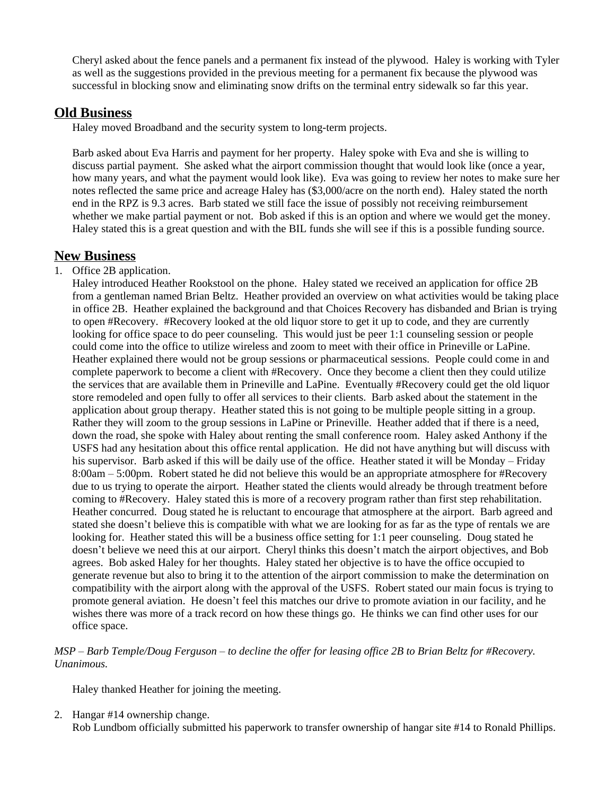Cheryl asked about the fence panels and a permanent fix instead of the plywood. Haley is working with Tyler as well as the suggestions provided in the previous meeting for a permanent fix because the plywood was successful in blocking snow and eliminating snow drifts on the terminal entry sidewalk so far this year.

## **Old Business**

Haley moved Broadband and the security system to long-term projects.

Barb asked about Eva Harris and payment for her property. Haley spoke with Eva and she is willing to discuss partial payment. She asked what the airport commission thought that would look like (once a year, how many years, and what the payment would look like). Eva was going to review her notes to make sure her notes reflected the same price and acreage Haley has (\$3,000/acre on the north end). Haley stated the north end in the RPZ is 9.3 acres. Barb stated we still face the issue of possibly not receiving reimbursement whether we make partial payment or not. Bob asked if this is an option and where we would get the money. Haley stated this is a great question and with the BIL funds she will see if this is a possible funding source.

## **New Business**

#### 1. Office 2B application.

Haley introduced Heather Rookstool on the phone. Haley stated we received an application for office 2B from a gentleman named Brian Beltz. Heather provided an overview on what activities would be taking place in office 2B. Heather explained the background and that Choices Recovery has disbanded and Brian is trying to open #Recovery. #Recovery looked at the old liquor store to get it up to code, and they are currently looking for office space to do peer counseling. This would just be peer 1:1 counseling session or people could come into the office to utilize wireless and zoom to meet with their office in Prineville or LaPine. Heather explained there would not be group sessions or pharmaceutical sessions. People could come in and complete paperwork to become a client with #Recovery. Once they become a client then they could utilize the services that are available them in Prineville and LaPine. Eventually #Recovery could get the old liquor store remodeled and open fully to offer all services to their clients. Barb asked about the statement in the application about group therapy. Heather stated this is not going to be multiple people sitting in a group. Rather they will zoom to the group sessions in LaPine or Prineville. Heather added that if there is a need, down the road, she spoke with Haley about renting the small conference room. Haley asked Anthony if the USFS had any hesitation about this office rental application. He did not have anything but will discuss with his supervisor. Barb asked if this will be daily use of the office. Heather stated it will be Monday – Friday 8:00am – 5:00pm. Robert stated he did not believe this would be an appropriate atmosphere for #Recovery due to us trying to operate the airport. Heather stated the clients would already be through treatment before coming to #Recovery. Haley stated this is more of a recovery program rather than first step rehabilitation. Heather concurred. Doug stated he is reluctant to encourage that atmosphere at the airport. Barb agreed and stated she doesn't believe this is compatible with what we are looking for as far as the type of rentals we are looking for. Heather stated this will be a business office setting for 1:1 peer counseling. Doug stated he doesn't believe we need this at our airport. Cheryl thinks this doesn't match the airport objectives, and Bob agrees. Bob asked Haley for her thoughts. Haley stated her objective is to have the office occupied to generate revenue but also to bring it to the attention of the airport commission to make the determination on compatibility with the airport along with the approval of the USFS. Robert stated our main focus is trying to promote general aviation. He doesn't feel this matches our drive to promote aviation in our facility, and he wishes there was more of a track record on how these things go. He thinks we can find other uses for our office space.

#### *MSP – Barb Temple/Doug Ferguson – to decline the offer for leasing office 2B to Brian Beltz for #Recovery. Unanimous.*

Haley thanked Heather for joining the meeting.

2. Hangar #14 ownership change.

Rob Lundbom officially submitted his paperwork to transfer ownership of hangar site #14 to Ronald Phillips.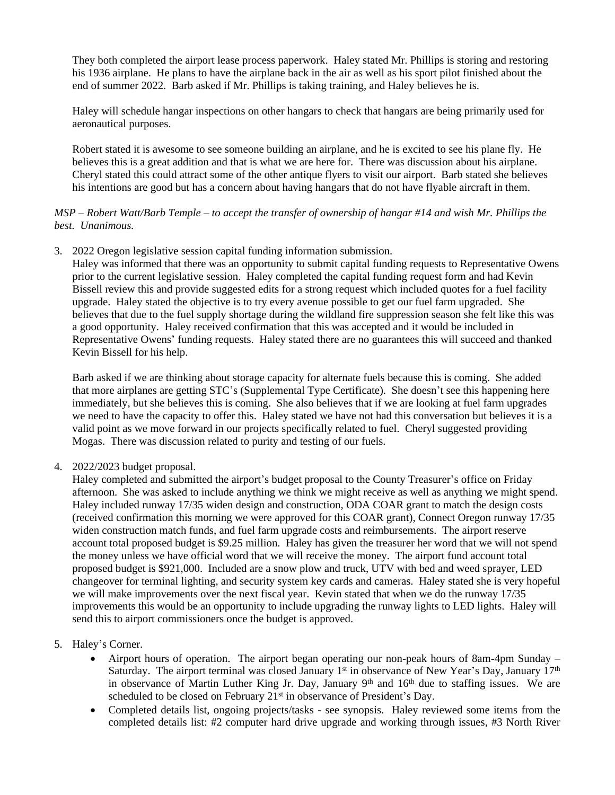They both completed the airport lease process paperwork. Haley stated Mr. Phillips is storing and restoring his 1936 airplane. He plans to have the airplane back in the air as well as his sport pilot finished about the end of summer 2022. Barb asked if Mr. Phillips is taking training, and Haley believes he is.

Haley will schedule hangar inspections on other hangars to check that hangars are being primarily used for aeronautical purposes.

Robert stated it is awesome to see someone building an airplane, and he is excited to see his plane fly. He believes this is a great addition and that is what we are here for. There was discussion about his airplane. Cheryl stated this could attract some of the other antique flyers to visit our airport. Barb stated she believes his intentions are good but has a concern about having hangars that do not have flyable aircraft in them.

#### *MSP – Robert Watt/Barb Temple – to accept the transfer of ownership of hangar #14 and wish Mr. Phillips the best. Unanimous.*

3. 2022 Oregon legislative session capital funding information submission.

Haley was informed that there was an opportunity to submit capital funding requests to Representative Owens prior to the current legislative session. Haley completed the capital funding request form and had Kevin Bissell review this and provide suggested edits for a strong request which included quotes for a fuel facility upgrade. Haley stated the objective is to try every avenue possible to get our fuel farm upgraded. She believes that due to the fuel supply shortage during the wildland fire suppression season she felt like this was a good opportunity. Haley received confirmation that this was accepted and it would be included in Representative Owens' funding requests. Haley stated there are no guarantees this will succeed and thanked Kevin Bissell for his help.

Barb asked if we are thinking about storage capacity for alternate fuels because this is coming. She added that more airplanes are getting STC's (Supplemental Type Certificate). She doesn't see this happening here immediately, but she believes this is coming. She also believes that if we are looking at fuel farm upgrades we need to have the capacity to offer this. Haley stated we have not had this conversation but believes it is a valid point as we move forward in our projects specifically related to fuel. Cheryl suggested providing Mogas. There was discussion related to purity and testing of our fuels.

4. 2022/2023 budget proposal.

Haley completed and submitted the airport's budget proposal to the County Treasurer's office on Friday afternoon. She was asked to include anything we think we might receive as well as anything we might spend. Haley included runway 17/35 widen design and construction, ODA COAR grant to match the design costs (received confirmation this morning we were approved for this COAR grant), Connect Oregon runway 17/35 widen construction match funds, and fuel farm upgrade costs and reimbursements. The airport reserve account total proposed budget is \$9.25 million. Haley has given the treasurer her word that we will not spend the money unless we have official word that we will receive the money. The airport fund account total proposed budget is \$921,000. Included are a snow plow and truck, UTV with bed and weed sprayer, LED changeover for terminal lighting, and security system key cards and cameras. Haley stated she is very hopeful we will make improvements over the next fiscal year. Kevin stated that when we do the runway 17/35 improvements this would be an opportunity to include upgrading the runway lights to LED lights. Haley will send this to airport commissioners once the budget is approved.

- 5. Haley's Corner.
	- Airport hours of operation. The airport began operating our non-peak hours of 8am-4pm Sunday Saturday. The airport terminal was closed January 1<sup>st</sup> in observance of New Year's Day, January 17<sup>th</sup> in observance of Martin Luther King Jr. Day, January 9<sup>th</sup> and 16<sup>th</sup> due to staffing issues. We are scheduled to be closed on February 21<sup>st</sup> in observance of President's Day.
	- Completed details list, ongoing projects/tasks see synopsis. Haley reviewed some items from the completed details list: #2 computer hard drive upgrade and working through issues, #3 North River